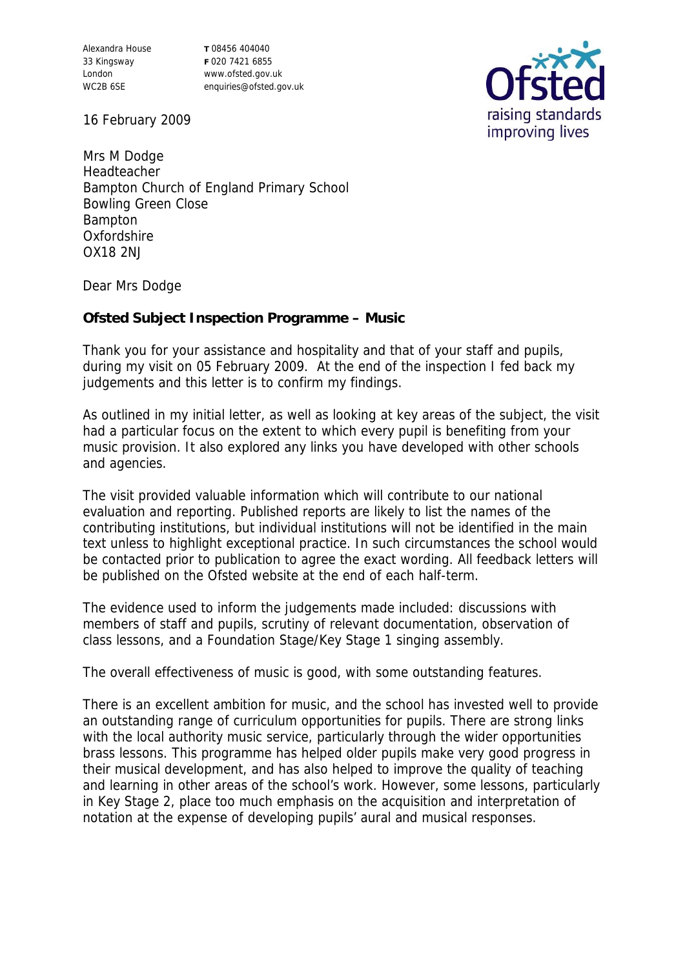Alexandra House 33 Kingsway London WC2B 6SE

**T** 08456 404040 **F** 020 7421 6855 www.ofsted.gov.uk enquiries@ofsted.gov.uk



16 February 2009

Mrs M Dodge Headteacher Bampton Church of England Primary School Bowling Green Close Bampton Oxfordshire OX18 2NJ

Dear Mrs Dodge

**Ofsted Subject Inspection Programme – Music**

Thank you for your assistance and hospitality and that of your staff and pupils, during my visit on 05 February 2009. At the end of the inspection I fed back my judgements and this letter is to confirm my findings.

As outlined in my initial letter, as well as looking at key areas of the subject, the visit had a particular focus on the extent to which every pupil is benefiting from your music provision. It also explored any links you have developed with other schools and agencies.

The visit provided valuable information which will contribute to our national evaluation and reporting. Published reports are likely to list the names of the contributing institutions, but individual institutions will not be identified in the main text unless to highlight exceptional practice. In such circumstances the school would be contacted prior to publication to agree the exact wording. All feedback letters will be published on the Ofsted website at the end of each half-term.

The evidence used to inform the judgements made included: discussions with members of staff and pupils, scrutiny of relevant documentation, observation of class lessons, and a Foundation Stage/Key Stage 1 singing assembly.

The overall effectiveness of music is good, with some outstanding features.

There is an excellent ambition for music, and the school has invested well to provide an outstanding range of curriculum opportunities for pupils. There are strong links with the local authority music service, particularly through the wider opportunities brass lessons. This programme has helped older pupils make very good progress in their musical development, and has also helped to improve the quality of teaching and learning in other areas of the school's work. However, some lessons, particularly in Key Stage 2, place too much emphasis on the acquisition and interpretation of notation at the expense of developing pupils' aural and musical responses.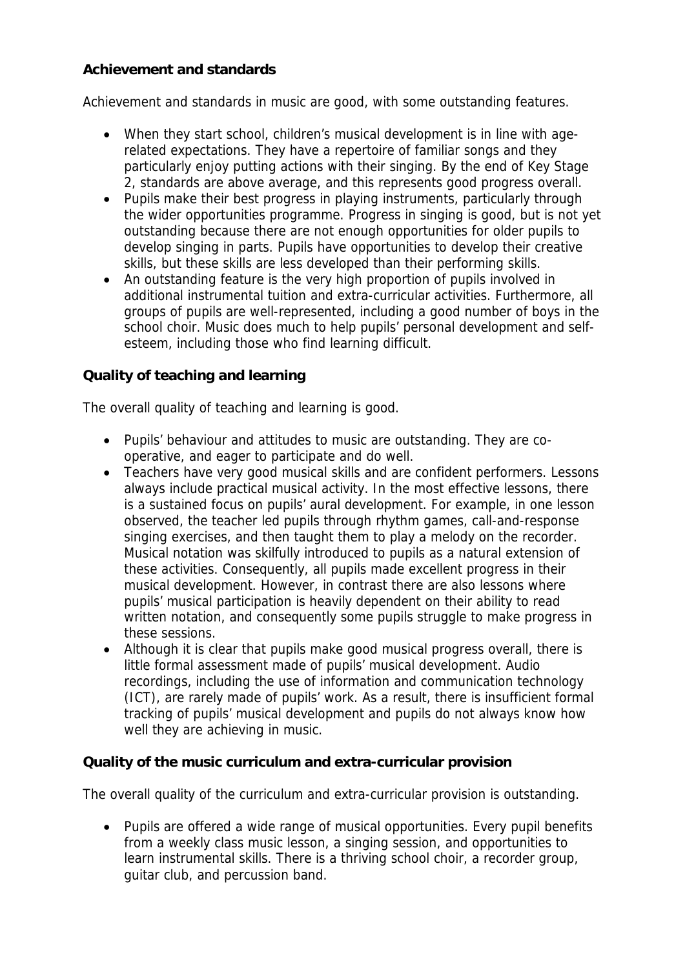## **Achievement and standards**

Achievement and standards in music are good, with some outstanding features.

- When they start school, children's musical development is in line with agerelated expectations. They have a repertoire of familiar songs and they particularly enjoy putting actions with their singing. By the end of Key Stage 2, standards are above average, and this represents good progress overall.
- Pupils make their best progress in playing instruments, particularly through the wider opportunities programme. Progress in singing is good, but is not yet outstanding because there are not enough opportunities for older pupils to develop singing in parts. Pupils have opportunities to develop their creative skills, but these skills are less developed than their performing skills.
- An outstanding feature is the very high proportion of pupils involved in additional instrumental tuition and extra-curricular activities. Furthermore, all groups of pupils are well-represented, including a good number of boys in the school choir. Music does much to help pupils' personal development and selfesteem, including those who find learning difficult.

## **Quality of teaching and learning**

The overall quality of teaching and learning is good.

- Pupils' behaviour and attitudes to music are outstanding. They are cooperative, and eager to participate and do well.
- Teachers have very good musical skills and are confident performers. Lessons always include practical musical activity. In the most effective lessons, there is a sustained focus on pupils' aural development. For example, in one lesson observed, the teacher led pupils through rhythm games, call-and-response singing exercises, and then taught them to play a melody on the recorder. Musical notation was skilfully introduced to pupils as a natural extension of these activities. Consequently, all pupils made excellent progress in their musical development. However, in contrast there are also lessons where pupils' musical participation is heavily dependent on their ability to read written notation, and consequently some pupils struggle to make progress in these sessions.
- Although it is clear that pupils make good musical progress overall, there is little formal assessment made of pupils' musical development. Audio recordings, including the use of information and communication technology (ICT), are rarely made of pupils' work. As a result, there is insufficient formal tracking of pupils' musical development and pupils do not always know how well they are achieving in music.

**Quality of the music curriculum and extra-curricular provision**

The overall quality of the curriculum and extra-curricular provision is outstanding.

• Pupils are offered a wide range of musical opportunities. Every pupil benefits from a weekly class music lesson, a singing session, and opportunities to learn instrumental skills. There is a thriving school choir, a recorder group, guitar club, and percussion band.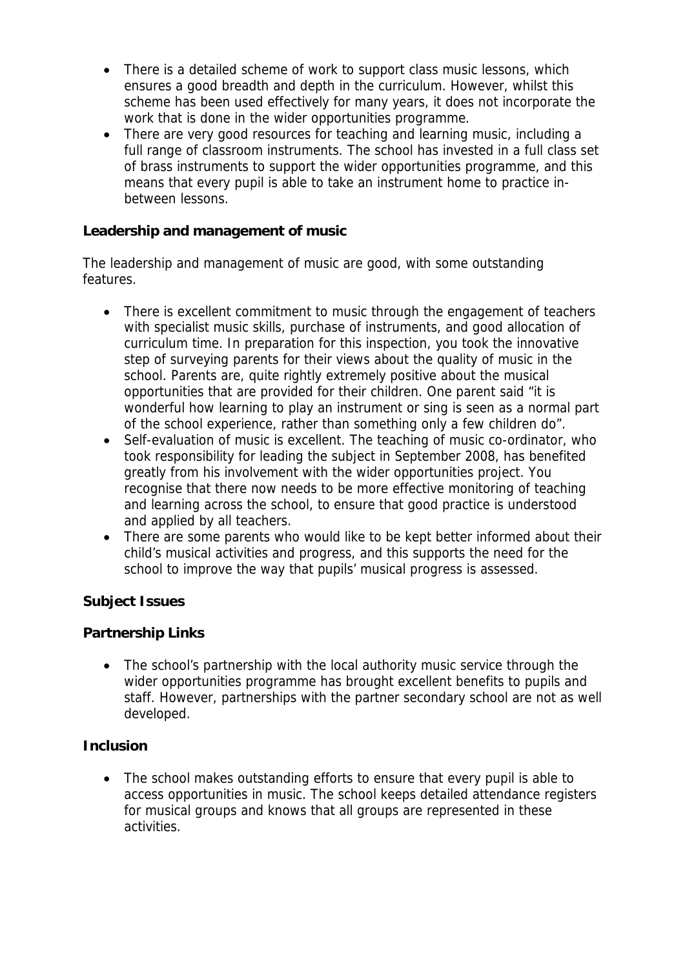- There is a detailed scheme of work to support class music lessons, which ensures a good breadth and depth in the curriculum. However, whilst this scheme has been used effectively for many years, it does not incorporate the work that is done in the wider opportunities programme.
- There are very good resources for teaching and learning music, including a full range of classroom instruments. The school has invested in a full class set of brass instruments to support the wider opportunities programme, and this means that every pupil is able to take an instrument home to practice inbetween lessons.

**Leadership and management of music**

The leadership and management of music are good, with some outstanding features.

- There is excellent commitment to music through the engagement of teachers with specialist music skills, purchase of instruments, and good allocation of curriculum time. In preparation for this inspection, you took the innovative step of surveying parents for their views about the quality of music in the school. Parents are, quite rightly extremely positive about the musical opportunities that are provided for their children. One parent said "it is wonderful how learning to play an instrument or sing is seen as a normal part of the school experience, rather than something only a few children do".
- Self-evaluation of music is excellent. The teaching of music co-ordinator, who took responsibility for leading the subject in September 2008, has benefited greatly from his involvement with the wider opportunities project. You recognise that there now needs to be more effective monitoring of teaching and learning across the school, to ensure that good practice is understood and applied by all teachers.
- There are some parents who would like to be kept better informed about their child's musical activities and progress, and this supports the need for the school to improve the way that pupils' musical progress is assessed.

**Subject Issues**

## **Partnership Links**

• The school's partnership with the local authority music service through the wider opportunities programme has brought excellent benefits to pupils and staff. However, partnerships with the partner secondary school are not as well developed.

## **Inclusion**

• The school makes outstanding efforts to ensure that every pupil is able to access opportunities in music. The school keeps detailed attendance registers for musical groups and knows that all groups are represented in these activities.